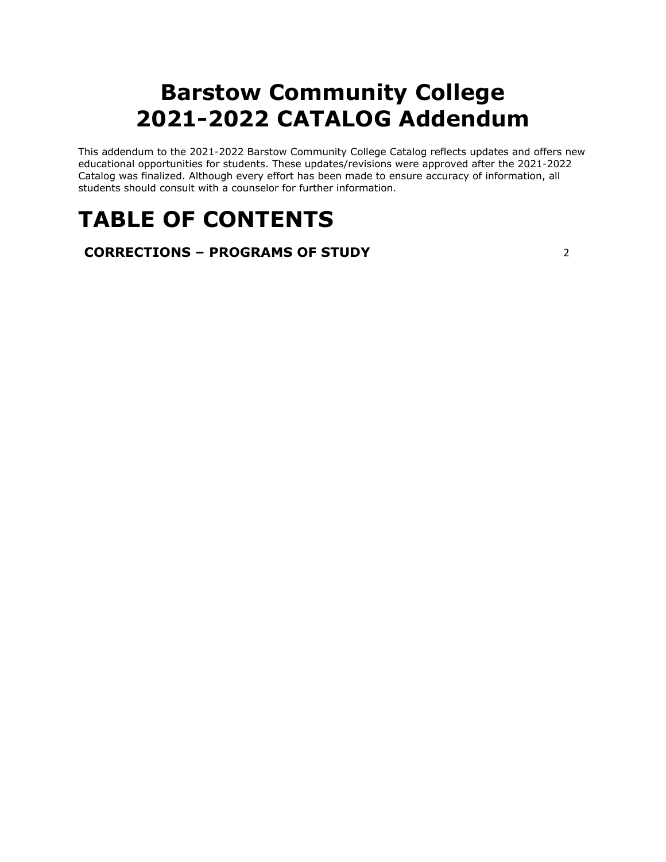## **Barstow Community College 2021-2022 CATALOG Addendum**

This addendum to the 2021-2022 Barstow Community College Catalog reflects updates and offers new educational opportunities for students. These updates/revisions were approved after the 2021-2022 Catalog was finalized. Although every effort has been made to ensure accuracy of information, all students should consult with a counselor for further information.

# **TABLE OF CONTENTS**

**CORRECTIONS – PROGRAMS OF STUDY** 2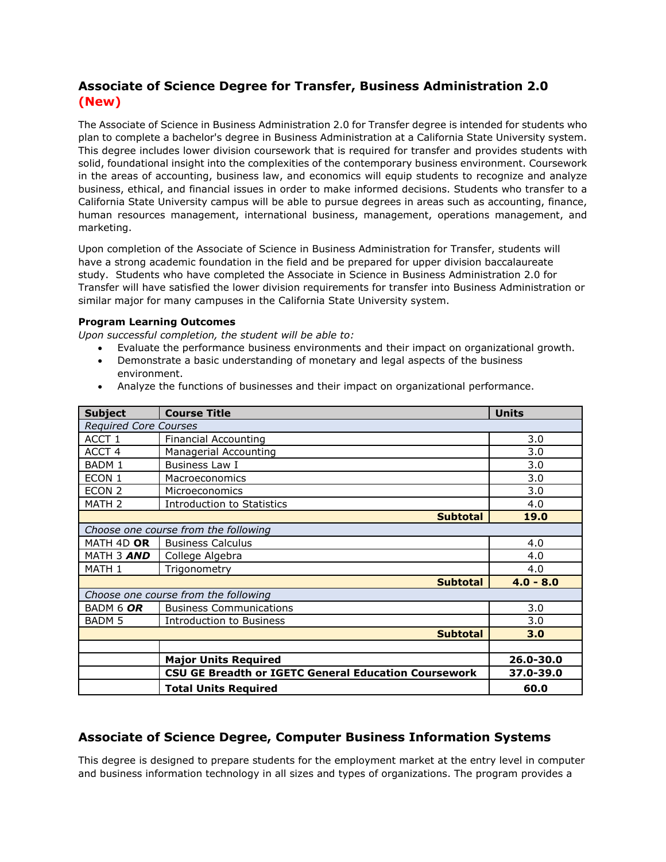## **Associate of Science Degree for Transfer, Business Administration 2.0 (New)**

The Associate of Science in Business Administration 2.0 for Transfer degree is intended for students who plan to complete a bachelor's degree in Business Administration at a California State University system. This degree includes lower division coursework that is required for transfer and provides students with solid, foundational insight into the complexities of the contemporary business environment. Coursework in the areas of accounting, business law, and economics will equip students to recognize and analyze business, ethical, and financial issues in order to make informed decisions. Students who transfer to a California State University campus will be able to pursue degrees in areas such as accounting, finance, human resources management, international business, management, operations management, and marketing.

Upon completion of the Associate of Science in Business Administration for Transfer, students will have a strong academic foundation in the field and be prepared for upper division baccalaureate study. Students who have completed the Associate in Science in Business Administration 2.0 for Transfer will have satisfied the lower division requirements for transfer into Business Administration or similar major for many campuses in the California State University system.

#### **Program Learning Outcomes**

*Upon successful completion, the student will be able to:*

- Evaluate the performance business environments and their impact on organizational growth.
- Demonstrate a basic understanding of monetary and legal aspects of the business environment.

| <b>Subject</b>               | <b>Course Title</b>                                         | <b>Units</b> |
|------------------------------|-------------------------------------------------------------|--------------|
| <b>Required Core Courses</b> |                                                             |              |
| ACCT <sub>1</sub>            | <b>Financial Accounting</b>                                 | 3.0          |
| ACCT 4                       | Managerial Accounting                                       | 3.0          |
| <b>BADM 1</b>                | <b>Business Law I</b>                                       | 3.0          |
| ECON 1                       | Macroeconomics                                              | 3.0          |
| ECON 2                       | Microeconomics                                              | 3.0          |
| MATH <sub>2</sub>            | <b>Introduction to Statistics</b>                           | 4.0          |
|                              | <b>Subtotal</b>                                             | 19.0         |
|                              | Choose one course from the following                        |              |
| MATH 4D OR                   | <b>Business Calculus</b>                                    | 4.0          |
| MATH 3 AND                   | College Algebra                                             | 4.0          |
| MATH 1                       | Trigonometry                                                | 4.0          |
|                              | <b>Subtotal</b>                                             | $4.0 - 8.0$  |
|                              | Choose one course from the following                        |              |
| BADM 6 OR                    | <b>Business Communications</b>                              | 3.0          |
| BADM <sub>5</sub>            | <b>Introduction to Business</b>                             | 3.0          |
|                              | <b>Subtotal</b>                                             | 3.0          |
|                              |                                                             |              |
|                              | <b>Major Units Required</b>                                 | 26.0-30.0    |
|                              | <b>CSU GE Breadth or IGETC General Education Coursework</b> | 37.0-39.0    |
|                              | <b>Total Units Required</b>                                 | 60.0         |

• Analyze the functions of businesses and their impact on organizational performance.

## **Associate of Science Degree, Computer Business Information Systems**

This degree is designed to prepare students for the employment market at the entry level in computer and business information technology in all sizes and types of organizations. The program provides a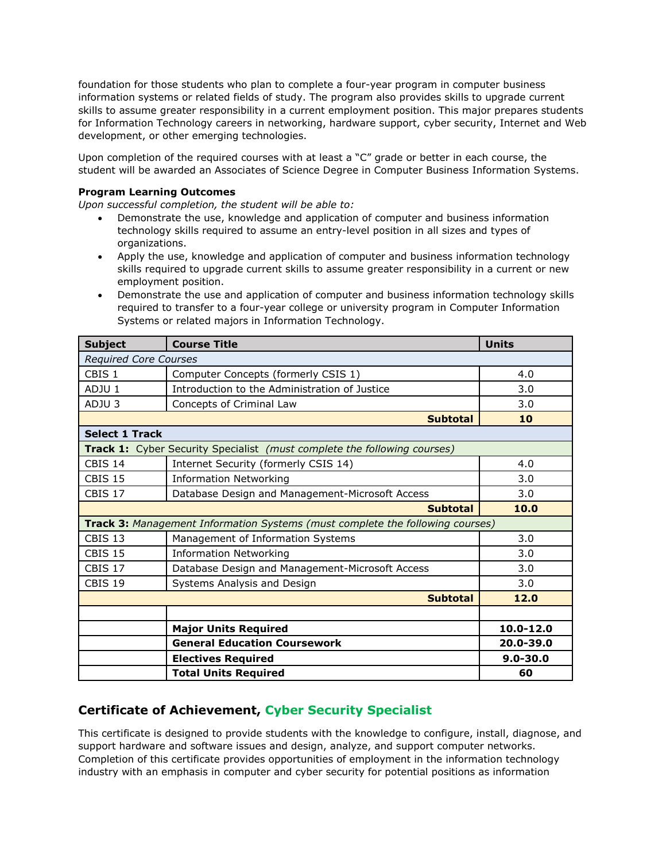foundation for those students who plan to complete a four-year program in computer business information systems or related fields of study. The program also provides skills to upgrade current skills to assume greater responsibility in a current employment position. This major prepares students for Information Technology careers in networking, hardware support, cyber security, Internet and Web development, or other emerging technologies.

Upon completion of the required courses with at least a "C" grade or better in each course, the student will be awarded an Associates of Science Degree in Computer Business Information Systems.

#### **Program Learning Outcomes**

*Upon successful completion, the student will be able to:*

- Demonstrate the use, knowledge and application of computer and business information technology skills required to assume an entry-level position in all sizes and types of organizations.
- Apply the use, knowledge and application of computer and business information technology skills required to upgrade current skills to assume greater responsibility in a current or new employment position.
- Demonstrate the use and application of computer and business information technology skills required to transfer to a four-year college or university program in Computer Information Systems or related majors in Information Technology.

| <b>Subject</b>               | <b>Course Title</b>                                                             | <b>Units</b>  |
|------------------------------|---------------------------------------------------------------------------------|---------------|
| <b>Required Core Courses</b> |                                                                                 |               |
| CBIS <sub>1</sub>            | Computer Concepts (formerly CSIS 1)                                             | 4.0           |
| ADJU <sub>1</sub>            | Introduction to the Administration of Justice                                   | 3.0           |
| ADJU <sub>3</sub>            | Concepts of Criminal Law                                                        | 3.0           |
|                              | <b>Subtotal</b>                                                                 | 10            |
| <b>Select 1 Track</b>        |                                                                                 |               |
|                              | <b>Track 1:</b> Cyber Security Specialist (must complete the following courses) |               |
| CBIS 14                      | Internet Security (formerly CSIS 14)                                            | 4.0           |
| <b>CBIS 15</b>               | <b>Information Networking</b>                                                   | 3.0           |
| CBIS 17                      | Database Design and Management-Microsoft Access                                 | 3.0           |
|                              | <b>Subtotal</b>                                                                 | 10.0          |
|                              | Track 3: Management Information Systems (must complete the following courses)   |               |
| CBIS <sub>13</sub>           | Management of Information Systems                                               | 3.0           |
| CBIS 15                      | <b>Information Networking</b>                                                   | 3.0           |
| CBIS <sub>17</sub>           | Database Design and Management-Microsoft Access                                 | 3.0           |
| CBIS 19                      | Systems Analysis and Design                                                     | 3.0           |
|                              | <b>Subtotal</b>                                                                 | 12.0          |
|                              |                                                                                 |               |
|                              | <b>Major Units Required</b>                                                     | 10.0-12.0     |
|                              | <b>General Education Coursework</b>                                             | $20.0 - 39.0$ |
|                              | <b>Electives Required</b>                                                       | $9.0 - 30.0$  |
|                              | <b>Total Units Required</b>                                                     | 60            |

## **Certificate of Achievement, Cyber Security Specialist**

This certificate is designed to provide students with the knowledge to configure, install, diagnose, and support hardware and software issues and design, analyze, and support computer networks. Completion of this certificate provides opportunities of employment in the information technology industry with an emphasis in computer and cyber security for potential positions as information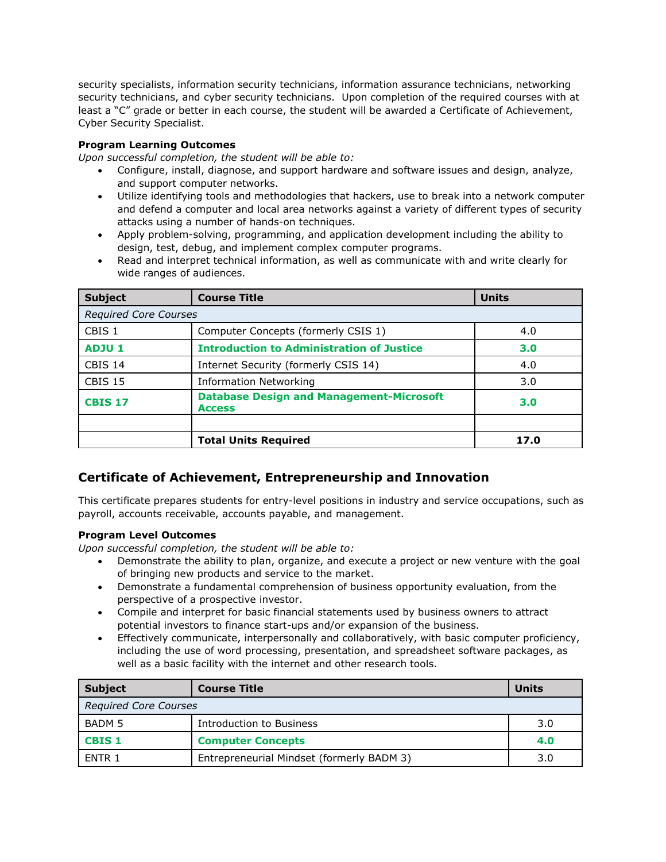security specialists, information security technicians, information assurance technicians, networking security technicians, and cyber security technicians. Upon completion of the required courses with at least a "C" grade or better in each course, the student will be awarded a Certificate of Achievement, Cyber Security Specialist.

#### **Program Learning Outcomes**

*Upon successful completion, the student will be able to:*

- Configure, install, diagnose, and support hardware and software issues and design, analyze, and support computer networks.
- Utilize identifying tools and methodologies that hackers, use to break into a network computer and defend a computer and local area networks against a variety of different types of security attacks using a number of hands-on techniques.
- Apply problem-solving, programming, and application development including the ability to design, test, debug, and implement complex computer programs.
- Read and interpret technical information, as well as communicate with and write clearly for wide ranges of audiences.

| <b>Subject</b>               | <b>Course Title</b>                                              | <b>Units</b> |
|------------------------------|------------------------------------------------------------------|--------------|
| <b>Required Core Courses</b> |                                                                  |              |
| CBIS <sub>1</sub>            | Computer Concepts (formerly CSIS 1)                              | 4.0          |
| <b>ADJU1</b>                 | <b>Introduction to Administration of Justice</b>                 | 3.0          |
| CBIS 14                      | Internet Security (formerly CSIS 14)                             | 4.0          |
| CBIS 15                      | <b>Information Networking</b>                                    | 3.0          |
| <b>CBIS 17</b>               | <b>Database Design and Management-Microsoft</b><br><b>Access</b> | 3.0          |
|                              |                                                                  |              |
|                              | <b>Total Units Required</b>                                      | 17.0         |

## **Certificate of Achievement, Entrepreneurship and Innovation**

This certificate prepares students for entry-level positions in industry and service occupations, such as payroll, accounts receivable, accounts payable, and management.

#### **Program Level Outcomes**

*Upon successful completion, the student will be able to:*

- Demonstrate the ability to plan, organize, and execute a project or new venture with the goal of bringing new products and service to the market.
- Demonstrate a fundamental comprehension of business opportunity evaluation, from the perspective of a prospective investor.
- Compile and interpret for basic financial statements used by business owners to attract potential investors to finance start-ups and/or expansion of the business.
- Effectively communicate, interpersonally and collaboratively, with basic computer proficiency, including the use of word processing, presentation, and spreadsheet software packages, as well as a basic facility with the internet and other research tools.

| <b>Subject</b>               | <b>Course Title</b>                       | <b>Units</b> |
|------------------------------|-------------------------------------------|--------------|
| <b>Required Core Courses</b> |                                           |              |
| BADM 5                       | Introduction to Business                  | 3.0          |
| <b>CBIS 1</b>                | <b>Computer Concepts</b>                  | 4.0          |
| ENTR 1                       | Entrepreneurial Mindset (formerly BADM 3) | 3.0          |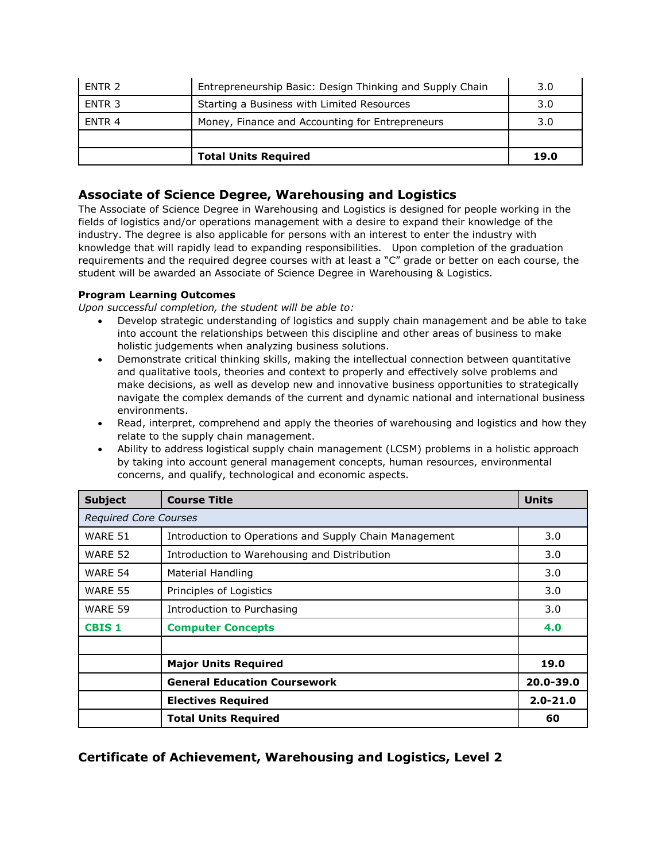| ENTR <sub>2</sub> | Entrepreneurship Basic: Design Thinking and Supply Chain | 3.0  |
|-------------------|----------------------------------------------------------|------|
| ENTR <sub>3</sub> | Starting a Business with Limited Resources               | 3.0  |
| FNTR <sub>4</sub> | Money, Finance and Accounting for Entrepreneurs          |      |
|                   |                                                          |      |
|                   | <b>Total Units Required</b>                              | 19.0 |

## **Associate of Science Degree, Warehousing and Logistics**

The Associate of Science Degree in Warehousing and Logistics is designed for people working in the fields of logistics and/or operations management with a desire to expand their knowledge of the industry. The degree is also applicable for persons with an interest to enter the industry with knowledge that will rapidly lead to expanding responsibilities. Upon completion of the graduation requirements and the required degree courses with at least a "C" grade or better on each course, the student will be awarded an Associate of Science Degree in Warehousing & Logistics.

### **Program Learning Outcomes**

*Upon successful completion, the student will be able to:*

- Develop strategic understanding of logistics and supply chain management and be able to take into account the relationships between this discipline and other areas of business to make holistic judgements when analyzing business solutions.
- Demonstrate critical thinking skills, making the intellectual connection between quantitative and qualitative tools, theories and context to properly and effectively solve problems and make decisions, as well as develop new and innovative business opportunities to strategically navigate the complex demands of the current and dynamic national and international business environments.
- Read, interpret, comprehend and apply the theories of warehousing and logistics and how they relate to the supply chain management.
- Ability to address logistical supply chain management (LCSM) problems in a holistic approach by taking into account general management concepts, human resources, environmental concerns, and qualify, technological and economic aspects.

| <b>Subject</b>               | <b>Course Title</b>                                    | <b>Units</b> |
|------------------------------|--------------------------------------------------------|--------------|
| <b>Required Core Courses</b> |                                                        |              |
| WARE 51                      | Introduction to Operations and Supply Chain Management | 3.0          |
| WARE 52                      | Introduction to Warehousing and Distribution           | 3.0          |
| WARE 54                      | <b>Material Handling</b>                               | 3.0          |
| WARE 55                      | Principles of Logistics                                | 3.0          |
| WARE 59                      | Introduction to Purchasing                             | 3.0          |
| <b>CBIS 1</b>                | <b>Computer Concepts</b>                               | 4.0          |
|                              |                                                        |              |
|                              | <b>Major Units Required</b>                            | 19.0         |
|                              | <b>General Education Coursework</b>                    | 20.0-39.0    |
|                              | <b>Electives Required</b>                              | $2.0 - 21.0$ |
|                              | <b>Total Units Required</b>                            | 60           |

**Certificate of Achievement, Warehousing and Logistics, Level 2**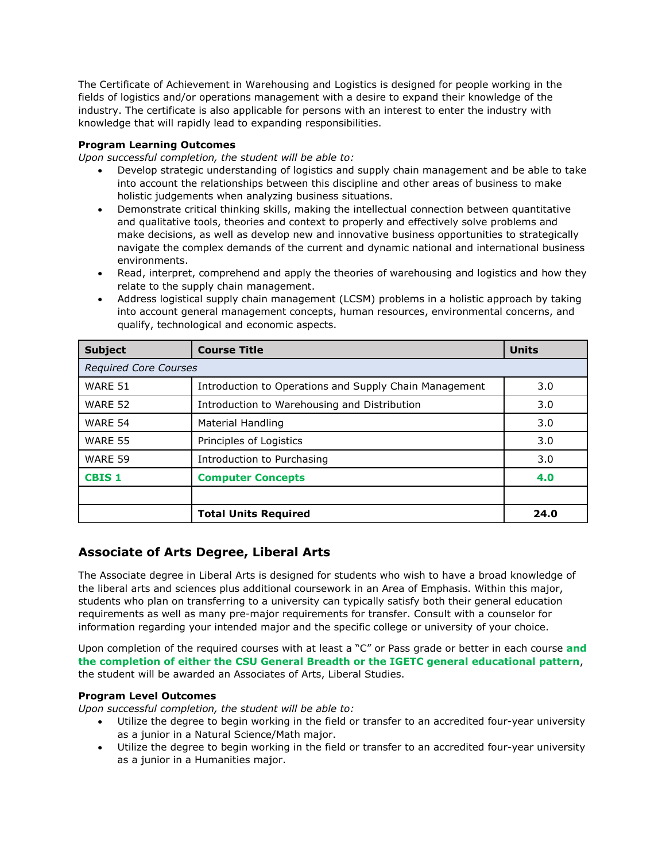The Certificate of Achievement in Warehousing and Logistics is designed for people working in the fields of logistics and/or operations management with a desire to expand their knowledge of the industry. The certificate is also applicable for persons with an interest to enter the industry with knowledge that will rapidly lead to expanding responsibilities.

#### **Program Learning Outcomes**

*Upon successful completion, the student will be able to:*

- Develop strategic understanding of logistics and supply chain management and be able to take into account the relationships between this discipline and other areas of business to make holistic judgements when analyzing business situations.
- Demonstrate critical thinking skills, making the intellectual connection between quantitative and qualitative tools, theories and context to properly and effectively solve problems and make decisions, as well as develop new and innovative business opportunities to strategically navigate the complex demands of the current and dynamic national and international business environments.
- Read, interpret, comprehend and apply the theories of warehousing and logistics and how they relate to the supply chain management.
- Address logistical supply chain management (LCSM) problems in a holistic approach by taking into account general management concepts, human resources, environmental concerns, and qualify, technological and economic aspects.

| <b>Subject</b>               | <b>Course Title</b>                                    | <b>Units</b> |
|------------------------------|--------------------------------------------------------|--------------|
| <b>Required Core Courses</b> |                                                        |              |
| WARE 51                      | Introduction to Operations and Supply Chain Management | 3.0          |
| WARE 52                      | Introduction to Warehousing and Distribution           | 3.0          |
| WARE 54                      | Material Handling                                      | 3.0          |
| <b>WARE 55</b>               | Principles of Logistics                                | 3.0          |
| WARE 59                      | Introduction to Purchasing                             | 3.0          |
| <b>CBIS 1</b>                | <b>Computer Concepts</b>                               | 4.0          |
|                              |                                                        |              |
|                              | <b>Total Units Required</b>                            | 24.0         |

## **Associate of Arts Degree, Liberal Arts**

The Associate degree in Liberal Arts is designed for students who wish to have a broad knowledge of the liberal arts and sciences plus additional coursework in an Area of Emphasis. Within this major, students who plan on transferring to a university can typically satisfy both their general education requirements as well as many pre-major requirements for transfer. Consult with a counselor for information regarding your intended major and the specific college or university of your choice.

Upon completion of the required courses with at least a "C" or Pass grade or better in each course **and the completion of either the CSU General Breadth or the IGETC general educational pattern**, the student will be awarded an Associates of Arts, Liberal Studies.

#### **Program Level Outcomes**

*Upon successful completion, the student will be able to:* 

- Utilize the degree to begin working in the field or transfer to an accredited four-year university as a junior in a Natural Science/Math major.
- Utilize the degree to begin working in the field or transfer to an accredited four-year university as a junior in a Humanities major.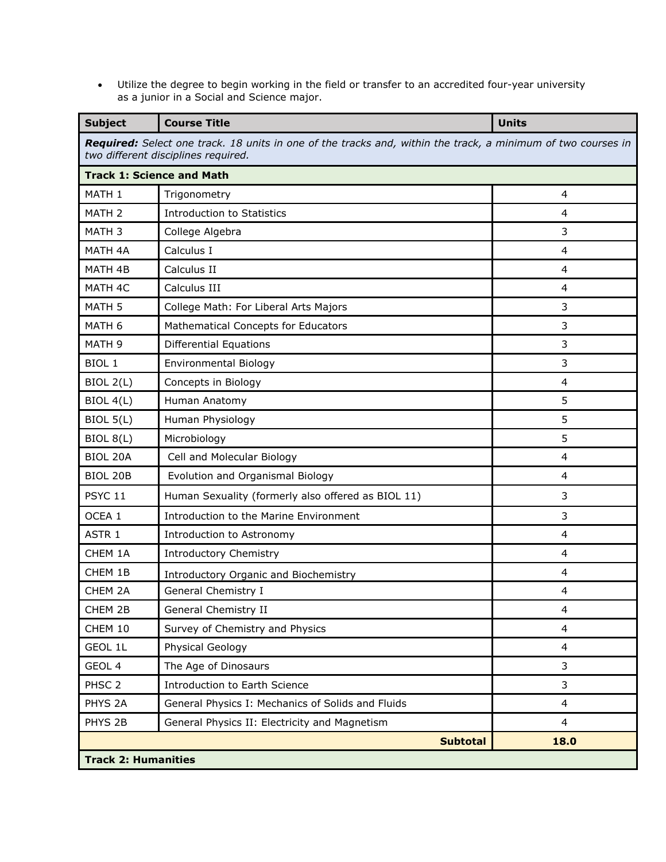• Utilize the degree to begin working in the field or transfer to an accredited four-year university as a junior in a Social and Science major.

| <b>Subject</b>                                                                                                                                      | <b>Course Title</b>                                | <b>Units</b>   |
|-----------------------------------------------------------------------------------------------------------------------------------------------------|----------------------------------------------------|----------------|
| Required: Select one track. 18 units in one of the tracks and, within the track, a minimum of two courses in<br>two different disciplines required. |                                                    |                |
| <b>Track 1: Science and Math</b>                                                                                                                    |                                                    |                |
| MATH 1                                                                                                                                              | Trigonometry                                       | $\overline{4}$ |
| MATH <sub>2</sub>                                                                                                                                   | <b>Introduction to Statistics</b>                  | 4              |
| MATH <sub>3</sub>                                                                                                                                   | College Algebra                                    | 3              |
| MATH 4A                                                                                                                                             | Calculus I                                         | 4              |
| MATH 4B                                                                                                                                             | Calculus II                                        | $\overline{4}$ |
| MATH 4C                                                                                                                                             | Calculus III                                       | $\overline{4}$ |
| MATH <sub>5</sub>                                                                                                                                   | College Math: For Liberal Arts Majors              | 3              |
| MATH <sub>6</sub>                                                                                                                                   | Mathematical Concepts for Educators                | 3              |
| MATH <sub>9</sub>                                                                                                                                   | <b>Differential Equations</b>                      | 3              |
| BIOL 1                                                                                                                                              | Environmental Biology                              | 3              |
| BIOL 2(L)                                                                                                                                           | Concepts in Biology                                | $\overline{4}$ |
| BIOL 4(L)                                                                                                                                           | Human Anatomy                                      | 5              |
| BIOL 5(L)                                                                                                                                           | Human Physiology                                   | 5              |
| BIOL 8(L)                                                                                                                                           | Microbiology                                       | 5              |
| <b>BIOL 20A</b>                                                                                                                                     | Cell and Molecular Biology                         | $\overline{4}$ |
| BIOL 20B                                                                                                                                            | Evolution and Organismal Biology                   | 4              |
| <b>PSYC 11</b>                                                                                                                                      | Human Sexuality (formerly also offered as BIOL 11) | 3              |
| OCEA <sub>1</sub>                                                                                                                                   | Introduction to the Marine Environment             | 3              |
| ASTR <sub>1</sub>                                                                                                                                   | Introduction to Astronomy                          | $\overline{4}$ |
| CHEM 1A                                                                                                                                             | <b>Introductory Chemistry</b>                      | $\overline{4}$ |
| CHEM 1B                                                                                                                                             | Introductory Organic and Biochemistry              | 4              |
| CHEM 2A                                                                                                                                             | General Chemistry I                                | 4              |
| CHEM 2B                                                                                                                                             | General Chemistry II                               | 4              |
| CHEM 10                                                                                                                                             | Survey of Chemistry and Physics                    | 4              |
| GEOL 1L                                                                                                                                             | Physical Geology                                   | 4              |
| GEOL 4                                                                                                                                              | The Age of Dinosaurs                               | 3              |
| PHSC <sub>2</sub>                                                                                                                                   | Introduction to Earth Science                      | 3              |
| PHYS <sub>2A</sub>                                                                                                                                  | General Physics I: Mechanics of Solids and Fluids  | 4              |
| PHYS <sub>2B</sub>                                                                                                                                  | General Physics II: Electricity and Magnetism      | $\overline{4}$ |
|                                                                                                                                                     | <b>Subtotal</b>                                    | 18.0           |
| <b>Track 2: Humanities</b>                                                                                                                          |                                                    |                |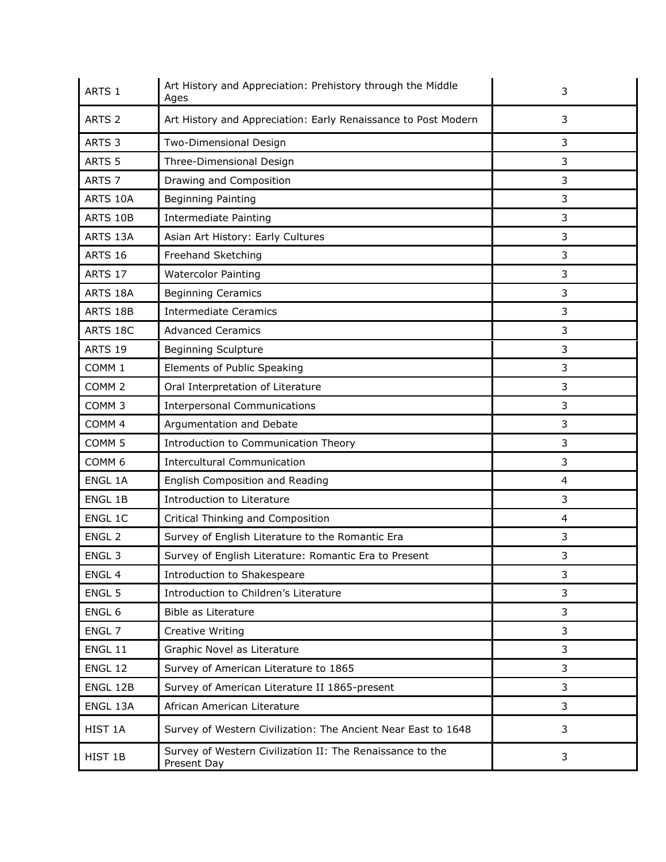| ARTS <sub>1</sub> | Art History and Appreciation: Prehistory through the Middle<br>Ages      | 3              |
|-------------------|--------------------------------------------------------------------------|----------------|
| ARTS <sub>2</sub> | Art History and Appreciation: Early Renaissance to Post Modern           | 3              |
| ARTS <sub>3</sub> | Two-Dimensional Design                                                   | 3              |
| ARTS <sub>5</sub> | Three-Dimensional Design                                                 | 3              |
| ARTS <sub>7</sub> | Drawing and Composition                                                  | 3              |
| ARTS 10A          | <b>Beginning Painting</b>                                                | 3              |
| ARTS 10B          | <b>Intermediate Painting</b>                                             | 3              |
| ARTS 13A          | Asian Art History: Early Cultures                                        | 3              |
| ARTS 16           | Freehand Sketching                                                       | 3              |
| ARTS 17           | <b>Watercolor Painting</b>                                               | 3              |
| ARTS 18A          | <b>Beginning Ceramics</b>                                                | 3              |
| ARTS 18B          | <b>Intermediate Ceramics</b>                                             | 3              |
| ARTS 18C          | <b>Advanced Ceramics</b>                                                 | 3              |
| ARTS 19           | <b>Beginning Sculpture</b>                                               | 3              |
| COMM <sub>1</sub> | Elements of Public Speaking                                              | 3              |
| COMM <sub>2</sub> | Oral Interpretation of Literature                                        | 3              |
| COMM <sub>3</sub> | <b>Interpersonal Communications</b>                                      | 3              |
| COMM <sub>4</sub> | Argumentation and Debate                                                 | 3              |
| COMM <sub>5</sub> | Introduction to Communication Theory                                     | 3              |
| COMM <sub>6</sub> | <b>Intercultural Communication</b>                                       | 3              |
| ENGL 1A           | English Composition and Reading                                          | 4              |
| ENGL 1B           | Introduction to Literature                                               | 3              |
| ENGL 1C           | Critical Thinking and Composition                                        | $\overline{4}$ |
| ENGL <sub>2</sub> | Survey of English Literature to the Romantic Era                         | 3              |
| ENGL <sub>3</sub> | Survey of English Literature: Romantic Era to Present                    | 3              |
| ENGL 4            | Introduction to Shakespeare                                              | 3              |
| ENGL <sub>5</sub> | Introduction to Children's Literature                                    | 3              |
| ENGL 6            | Bible as Literature                                                      | 3              |
| ENGL <sub>7</sub> | Creative Writing                                                         | 3              |
| ENGL 11           | Graphic Novel as Literature                                              | 3              |
| ENGL 12           | Survey of American Literature to 1865                                    | 3              |
| ENGL 12B          | Survey of American Literature II 1865-present                            | 3              |
| ENGL 13A          | African American Literature                                              | 3              |
| HIST 1A           | Survey of Western Civilization: The Ancient Near East to 1648            | 3              |
| HIST 1B           | Survey of Western Civilization II: The Renaissance to the<br>Present Day | 3              |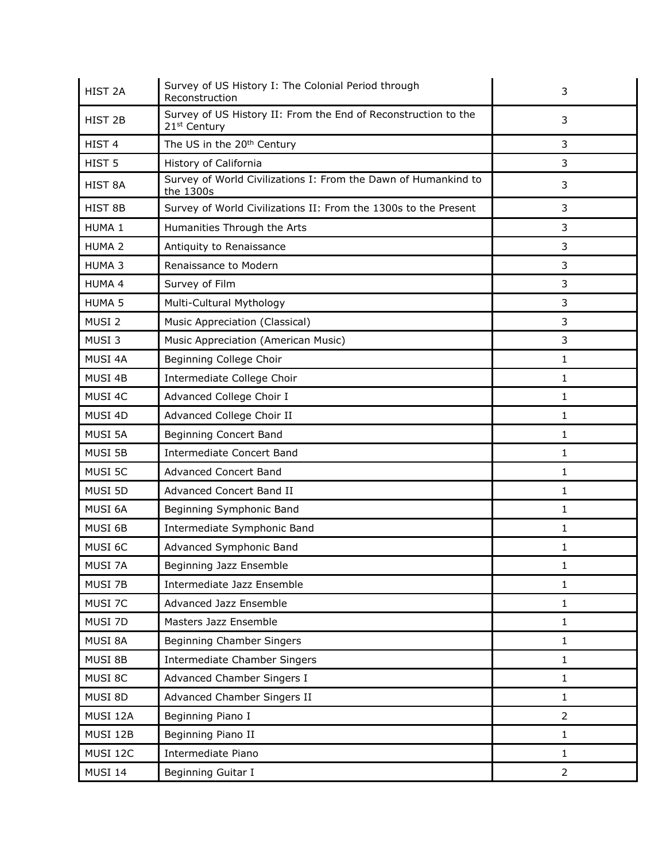| HIST <sub>2A</sub>  | Survey of US History I: The Colonial Period through<br>Reconstruction                      | 3              |
|---------------------|--------------------------------------------------------------------------------------------|----------------|
| HIST <sub>2B</sub>  | Survey of US History II: From the End of Reconstruction to the<br>21 <sup>st</sup> Century | 3              |
| HIST <sub>4</sub>   | The US in the 20 <sup>th</sup> Century                                                     | 3              |
| HIST <sub>5</sub>   | History of California                                                                      | 3              |
| HIST 8A             | Survey of World Civilizations I: From the Dawn of Humankind to<br>the 1300s                | 3              |
| HIST 8B             | Survey of World Civilizations II: From the 1300s to the Present                            | 3              |
| <b>HUMA 1</b>       | Humanities Through the Arts                                                                | 3              |
| <b>HUMA 2</b>       | Antiquity to Renaissance                                                                   | 3              |
| HUMA <sub>3</sub>   | Renaissance to Modern                                                                      | 3              |
| HUMA 4              | Survey of Film                                                                             | 3              |
| HUMA <sub>5</sub>   | Multi-Cultural Mythology                                                                   | 3              |
| MUSI <sub>2</sub>   | Music Appreciation (Classical)                                                             | 3              |
| MUSI <sub>3</sub>   | Music Appreciation (American Music)                                                        | 3              |
| MUSI 4A             | Beginning College Choir                                                                    | $\mathbf{1}$   |
| MUSI 4B             | Intermediate College Choir                                                                 | $\mathbf{1}$   |
| MUSI 4C             | Advanced College Choir I                                                                   | $\mathbf{1}$   |
| MUSI 4D             | Advanced College Choir II                                                                  | $\mathbf{1}$   |
| MUSI 5A             | Beginning Concert Band                                                                     | $\mathbf{1}$   |
| MUSI 5B             | Intermediate Concert Band                                                                  | 1              |
| MUSI 5C             | Advanced Concert Band                                                                      | $\mathbf{1}$   |
| <b>MUSI 5D</b>      | Advanced Concert Band II                                                                   | $\mathbf{1}$   |
| MUSI 6A             | Beginning Symphonic Band                                                                   | 1              |
| MUSI <sub>6</sub> B | Intermediate Symphonic Band                                                                | $\mathbf{1}$   |
| MUSI <sub>6C</sub>  | Advanced Symphonic Band                                                                    | $\mathbf{1}$   |
| MUSI 7A             | Beginning Jazz Ensemble                                                                    | 1              |
| MUSI 7B             | Intermediate Jazz Ensemble                                                                 | 1              |
| MUSI 7C             | Advanced Jazz Ensemble                                                                     | 1              |
| MUSI 7D             | Masters Jazz Ensemble                                                                      | $\mathbf{1}$   |
| MUSI 8A             | Beginning Chamber Singers                                                                  | $\mathbf{1}$   |
| MUSI 8B             | <b>Intermediate Chamber Singers</b>                                                        | 1              |
| MUSI 8C             | Advanced Chamber Singers I                                                                 | $\mathbf{1}$   |
| MUSI 8D             | Advanced Chamber Singers II                                                                | $\mathbf{1}$   |
| MUSI 12A            | Beginning Piano I                                                                          | $\overline{2}$ |
| MUSI 12B            | Beginning Piano II                                                                         | $\mathbf{1}$   |
| MUSI 12C            | Intermediate Piano                                                                         | $\mathbf{1}$   |
| MUSI 14             | Beginning Guitar I                                                                         | $\overline{2}$ |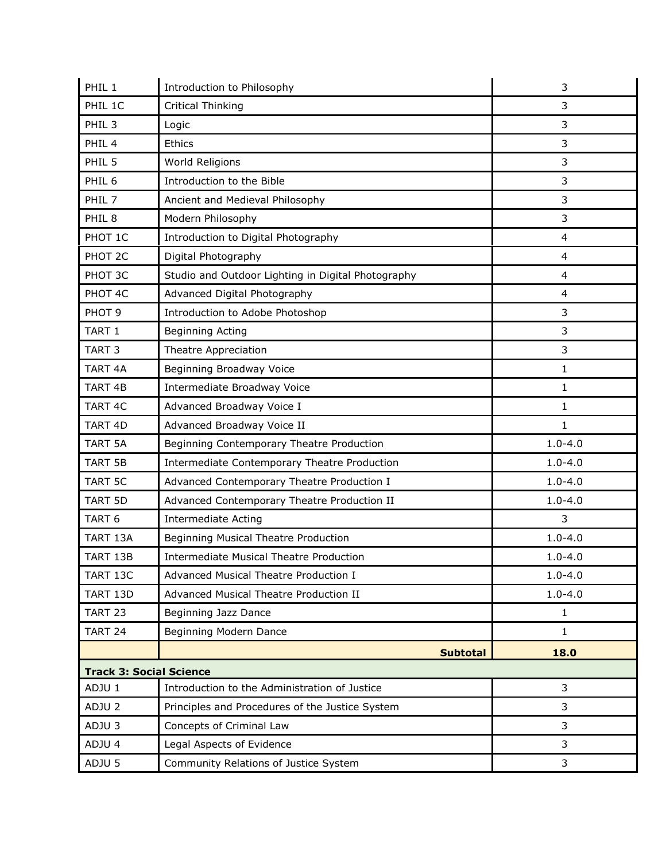| PHIL <sub>1</sub>              | Introduction to Philosophy                         | 3              |
|--------------------------------|----------------------------------------------------|----------------|
| PHIL 1C                        | Critical Thinking                                  | 3              |
| PHIL <sub>3</sub>              | Logic                                              | 3              |
| PHIL <sub>4</sub>              | <b>Ethics</b>                                      | 3              |
| PHIL <sub>5</sub>              | World Religions                                    | 3              |
| PHIL <sub>6</sub>              | Introduction to the Bible                          | 3              |
| PHIL <sub>7</sub>              | Ancient and Medieval Philosophy                    | 3              |
| PHIL <sub>8</sub>              | Modern Philosophy                                  | 3              |
| PHOT 1C                        | Introduction to Digital Photography                | 4              |
| PHOT 2C                        | Digital Photography                                | 4              |
| PHOT 3C                        | Studio and Outdoor Lighting in Digital Photography | $\overline{4}$ |
| PHOT 4C                        | Advanced Digital Photography                       | 4              |
| PHOT <sub>9</sub>              | Introduction to Adobe Photoshop                    | 3              |
| TART 1                         | <b>Beginning Acting</b>                            | 3              |
| TART <sub>3</sub>              | Theatre Appreciation                               | 3              |
| TART 4A                        | Beginning Broadway Voice                           | $\mathbf{1}$   |
| <b>TART 4B</b>                 | Intermediate Broadway Voice                        | $\mathbf{1}$   |
| TART 4C                        | Advanced Broadway Voice I                          | $\mathbf{1}$   |
| TART 4D                        | Advanced Broadway Voice II                         | $\mathbf{1}$   |
| <b>TART 5A</b>                 | Beginning Contemporary Theatre Production          | $1.0 - 4.0$    |
| <b>TART 5B</b>                 | Intermediate Contemporary Theatre Production       | $1.0 - 4.0$    |
| <b>TART 5C</b>                 | Advanced Contemporary Theatre Production I         | $1.0 - 4.0$    |
| <b>TART 5D</b>                 | Advanced Contemporary Theatre Production II        | $1.0 - 4.0$    |
| TART <sub>6</sub>              | <b>Intermediate Acting</b>                         | 3              |
| TART 13A                       | Beginning Musical Theatre Production               | $1.0 - 4.0$    |
| TART 13B                       | <b>Intermediate Musical Theatre Production</b>     | $1.0 - 4.0$    |
| TART 13C                       | Advanced Musical Theatre Production I              | $1.0 - 4.0$    |
| TART 13D                       | Advanced Musical Theatre Production II             | $1.0 - 4.0$    |
| TART <sub>23</sub>             | Beginning Jazz Dance                               | $\mathbf{1}$   |
| TART 24                        | Beginning Modern Dance                             | $\mathbf{1}$   |
|                                | <b>Subtotal</b>                                    | 18.0           |
| <b>Track 3: Social Science</b> |                                                    |                |
| ADJU <sub>1</sub>              | Introduction to the Administration of Justice      | 3              |
| ADJU <sub>2</sub>              | Principles and Procedures of the Justice System    | 3              |
| ADJU <sub>3</sub>              | Concepts of Criminal Law                           | 3              |
| ADJU 4                         | Legal Aspects of Evidence                          | 3              |
| ADJU <sub>5</sub>              | Community Relations of Justice System              | 3              |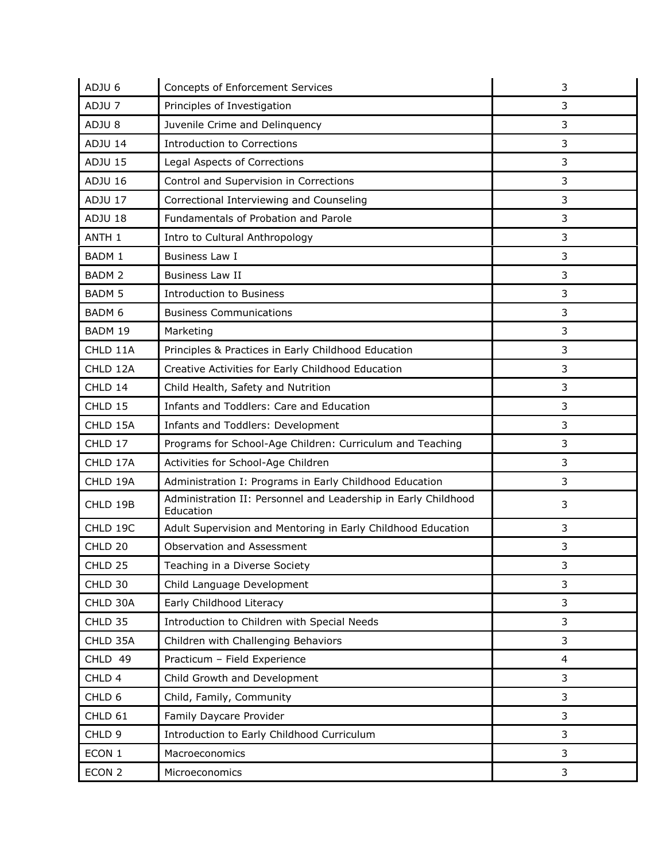| ADJU <sub>6</sub>  | Concepts of Enforcement Services                                            | 3 |
|--------------------|-----------------------------------------------------------------------------|---|
| ADJU <sub>7</sub>  | Principles of Investigation                                                 | 3 |
| ADJU <sub>8</sub>  | Juvenile Crime and Delinquency                                              | 3 |
| ADJU 14            | Introduction to Corrections                                                 | 3 |
| <b>ADJU 15</b>     | Legal Aspects of Corrections                                                | 3 |
| ADJU 16            | Control and Supervision in Corrections                                      | 3 |
| ADJU 17            | Correctional Interviewing and Counseling                                    | 3 |
| ADJU 18            | Fundamentals of Probation and Parole                                        | 3 |
| ANTH <sub>1</sub>  | Intro to Cultural Anthropology                                              | 3 |
| BADM 1             | Business Law I                                                              | 3 |
| BADM <sub>2</sub>  | <b>Business Law II</b>                                                      | 3 |
| BADM <sub>5</sub>  | <b>Introduction to Business</b>                                             | 3 |
| BADM 6             | <b>Business Communications</b>                                              | 3 |
| BADM 19            | Marketing                                                                   | 3 |
| CHLD 11A           | Principles & Practices in Early Childhood Education                         | 3 |
| CHLD 12A           | Creative Activities for Early Childhood Education                           | 3 |
| CHLD 14            | Child Health, Safety and Nutrition                                          | 3 |
| CHLD 15            | Infants and Toddlers: Care and Education                                    | 3 |
| CHLD 15A           | Infants and Toddlers: Development                                           | 3 |
| CHLD 17            | Programs for School-Age Children: Curriculum and Teaching                   | 3 |
| CHLD 17A           | Activities for School-Age Children                                          | 3 |
| CHLD 19A           | Administration I: Programs in Early Childhood Education                     | 3 |
| CHLD 19B           | Administration II: Personnel and Leadership in Early Childhood<br>Education | 3 |
| CHLD 19C           | Adult Supervision and Mentoring in Early Childhood Education                | 3 |
| CHLD <sub>20</sub> | Observation and Assessment                                                  | 3 |
| CHLD 25            | Teaching in a Diverse Society                                               | 3 |
| CHLD 30            | Child Language Development                                                  | 3 |
| CHLD 30A           | Early Childhood Literacy                                                    | 3 |
| CHLD 35            | Introduction to Children with Special Needs                                 | 3 |
| CHLD 35A           | Children with Challenging Behaviors                                         | 3 |
| CHLD 49            | Practicum - Field Experience                                                | 4 |
| CHLD 4             | Child Growth and Development                                                | 3 |
| CHLD 6             | Child, Family, Community                                                    | 3 |
| CHLD 61            | Family Daycare Provider                                                     | 3 |
| CHLD 9             | Introduction to Early Childhood Curriculum                                  | 3 |
| ECON 1             | Macroeconomics                                                              | 3 |
| ECON 2             | Microeconomics                                                              | 3 |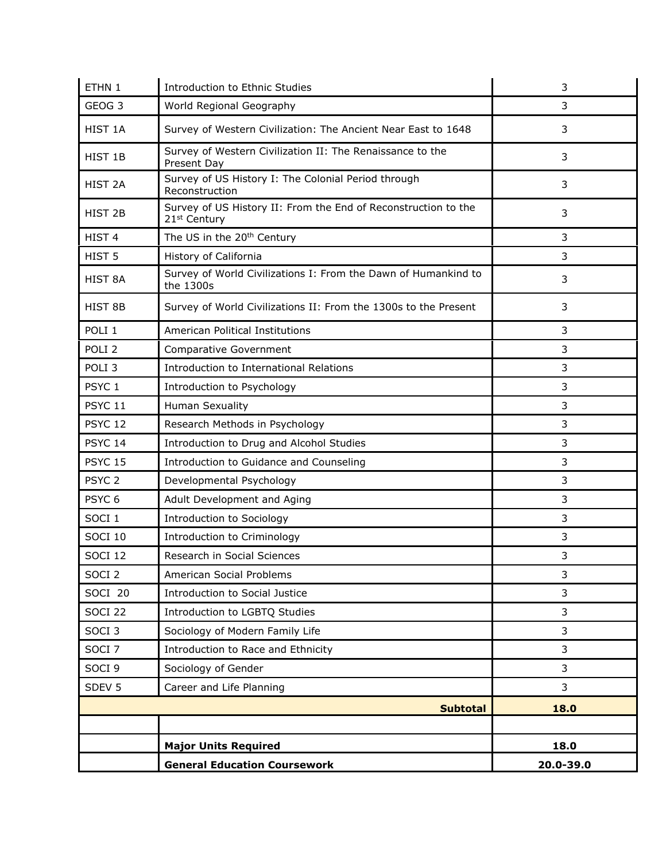| ETHN 1             | Introduction to Ethnic Studies                                                             | 3         |
|--------------------|--------------------------------------------------------------------------------------------|-----------|
| GEOG <sub>3</sub>  | World Regional Geography                                                                   | 3         |
| HIST 1A            | Survey of Western Civilization: The Ancient Near East to 1648                              | 3         |
| HIST 1B            | Survey of Western Civilization II: The Renaissance to the<br>Present Day                   | 3         |
| HIST <sub>2A</sub> | Survey of US History I: The Colonial Period through<br>Reconstruction                      | 3         |
| HIST <sub>2B</sub> | Survey of US History II: From the End of Reconstruction to the<br>21 <sup>st</sup> Century | 3         |
| HIST <sub>4</sub>  | The US in the 20 <sup>th</sup> Century                                                     | 3         |
| HIST <sub>5</sub>  | History of California                                                                      | 3         |
| HIST 8A            | Survey of World Civilizations I: From the Dawn of Humankind to<br>the 1300s                | 3         |
| HIST 8B            | Survey of World Civilizations II: From the 1300s to the Present                            | 3         |
| POLI <sub>1</sub>  | American Political Institutions                                                            | 3         |
| POLI <sub>2</sub>  | <b>Comparative Government</b>                                                              | 3         |
| POLI <sub>3</sub>  | Introduction to International Relations                                                    | 3         |
| PSYC <sub>1</sub>  | Introduction to Psychology                                                                 | 3         |
| <b>PSYC 11</b>     | Human Sexuality                                                                            | 3         |
| <b>PSYC 12</b>     | Research Methods in Psychology                                                             | 3         |
| PSYC <sub>14</sub> | Introduction to Drug and Alcohol Studies                                                   | 3         |
| <b>PSYC 15</b>     | Introduction to Guidance and Counseling                                                    | 3         |
| PSYC <sub>2</sub>  | Developmental Psychology                                                                   | 3         |
| PSYC <sub>6</sub>  | Adult Development and Aging                                                                | 3         |
| SOCI <sub>1</sub>  | Introduction to Sociology                                                                  | 3         |
| <b>SOCI 10</b>     | Introduction to Criminology                                                                | 3         |
| <b>SOCI 12</b>     | Research in Social Sciences                                                                | 3         |
| SOCI <sub>2</sub>  | American Social Problems                                                                   | 3         |
| SOCI 20            | Introduction to Social Justice                                                             | 3         |
| <b>SOCI 22</b>     | Introduction to LGBTQ Studies                                                              | 3         |
| SOCI <sub>3</sub>  | Sociology of Modern Family Life                                                            | 3         |
| SOCI <sub>7</sub>  | Introduction to Race and Ethnicity                                                         | 3         |
| SOCI <sub>9</sub>  | Sociology of Gender                                                                        | 3         |
| SDEV <sub>5</sub>  | Career and Life Planning                                                                   | 3         |
|                    | <b>Subtotal</b>                                                                            | 18.0      |
|                    |                                                                                            |           |
|                    | <b>Major Units Required</b>                                                                | 18.0      |
|                    | <b>General Education Coursework</b>                                                        | 20.0-39.0 |